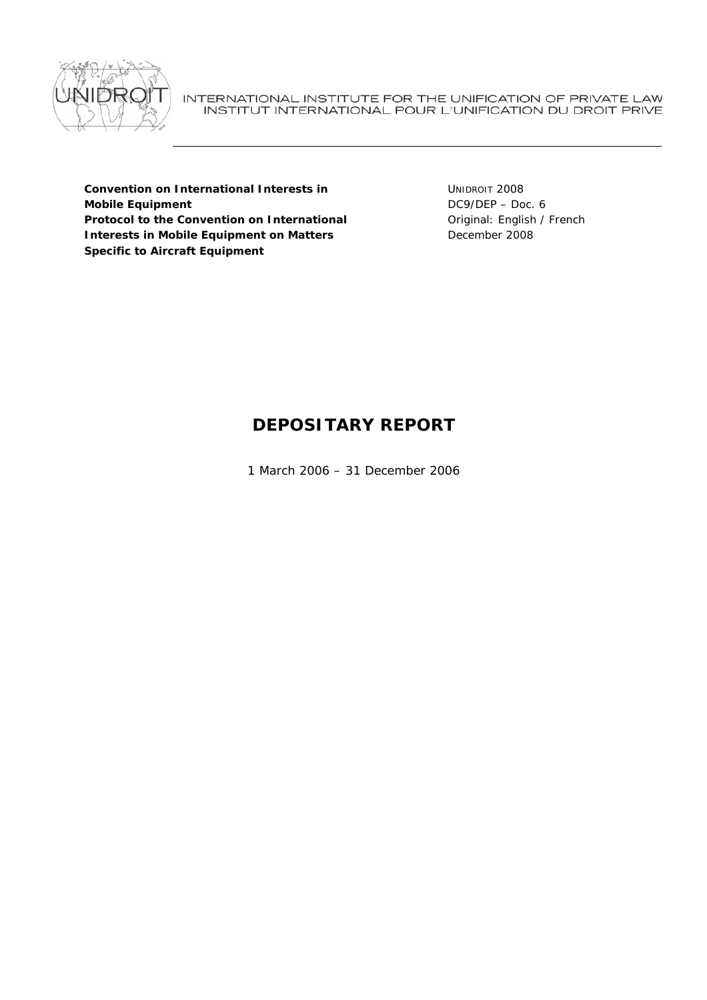

INTERNATIONAL INSTITUTE FOR THE UNIFICATION OF PRIVATE LAW INSTITUT INTERNATIONAL POUR L'UNIFICATION DU DROIT PRIVE

**Convention on International Interests in Mobile Equipment Protocol to the Convention on International Interests in Mobile Equipment on Matters Specific to Aircraft Equipment** 

UNIDROIT 2008 DC9/DEP – Doc. 6 Original: English / French December 2008

# **DEPOSITARY REPORT**

1 March 2006 – 31 December 2006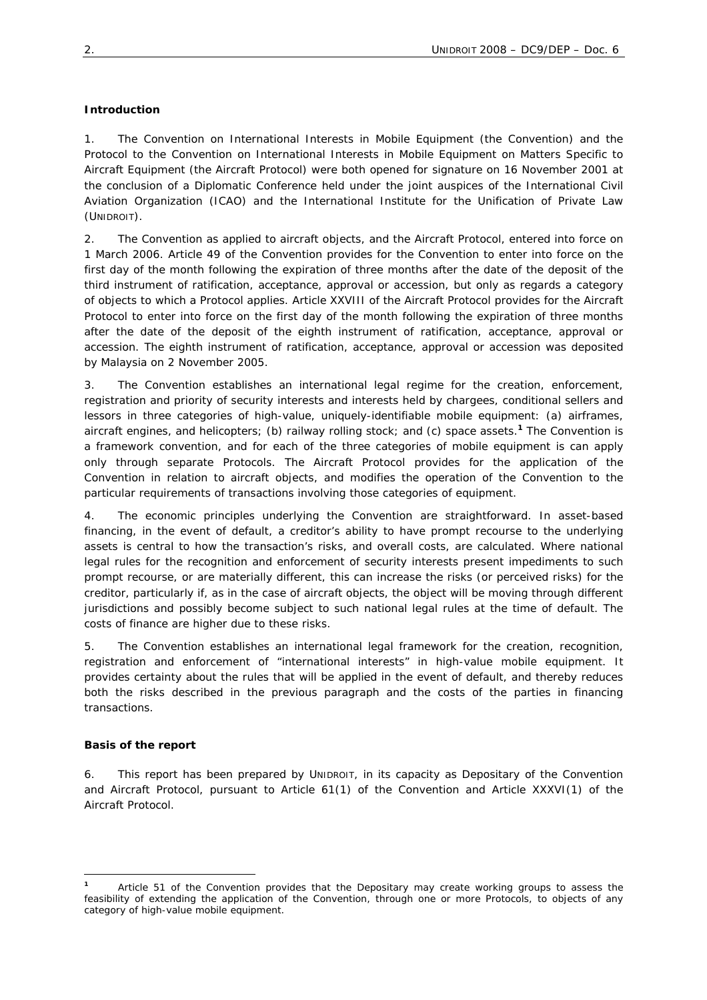## **Introduction**

1. The *Convention on International Interests in Mobile Equipment* (the Convention) and the *Protocol to the Convention on International Interests in Mobile Equipment on Matters Specific to Aircraft Equipment* (the Aircraft Protocol) were both opened for signature on 16 November 2001 at the conclusion of a Diplomatic Conference held under the joint auspices of the International Civil Aviation Organization (ICAO) and the International Institute for the Unification of Private Law (UNIDROIT).

2. The Convention as applied to aircraft objects, and the Aircraft Protocol, entered into force on 1 March 2006. Article 49 of the Convention provides for the Convention to enter into force on the first day of the month following the expiration of three months after the date of the deposit of the third instrument of ratification, acceptance, approval or accession, but only as regards a category of objects to which a Protocol applies. Article XXVIII of the Aircraft Protocol provides for the Aircraft Protocol to enter into force on the first day of the month following the expiration of three months after the date of the deposit of the eighth instrument of ratification, acceptance, approval or accession. The eighth instrument of ratification, acceptance, approval or accession was deposited by Malaysia on 2 November 2005.

3. The Convention establishes an international legal regime for the creation, enforcement, registration and priority of security interests and interests held by chargees, conditional sellers and lessors in three categories of high-value, uniquely-identifiable mobile equipment: (a) airframes, aircraft engines, and helicopters; (b) railway rolling stock; and (c) space assets.**<sup>1</sup>** The Convention is a framework convention, and for each of the three categories of mobile equipment is can apply only through separate Protocols. The Aircraft Protocol provides for the application of the Convention in relation to aircraft objects, and modifies the operation of the Convention to the particular requirements of transactions involving those categories of equipment.

4. The economic principles underlying the Convention are straightforward. In asset-based financing, in the event of default, a creditor's ability to have prompt recourse to the underlying assets is central to how the transaction's risks, and overall costs, are calculated. Where national legal rules for the recognition and enforcement of security interests present impediments to such prompt recourse, or are materially different, this can increase the risks (or perceived risks) for the creditor, particularly if, as in the case of aircraft objects, the object will be moving through different jurisdictions and possibly become subject to such national legal rules at the time of default. The costs of finance are higher due to these risks.

5. The Convention establishes an international legal framework for the creation, recognition, registration and enforcement of "international interests" in high-value mobile equipment. It provides certainty about the rules that will be applied in the event of default, and thereby reduces both the risks described in the previous paragraph and the costs of the parties in financing transactions.

## **Basis of the report**

6. This report has been prepared by UNIDROIT, in its capacity as Depositary of the Convention and Aircraft Protocol, pursuant to Article 61(1) of the Convention and Article XXXVI(1) of the Aircraft Protocol.

 $\overline{a}$ **<sup>1</sup>** Article 51 of the Convention provides that the Depositary may create working groups to assess the feasibility of extending the application of the Convention, through one or more Protocols, to objects of any category of high-value mobile equipment.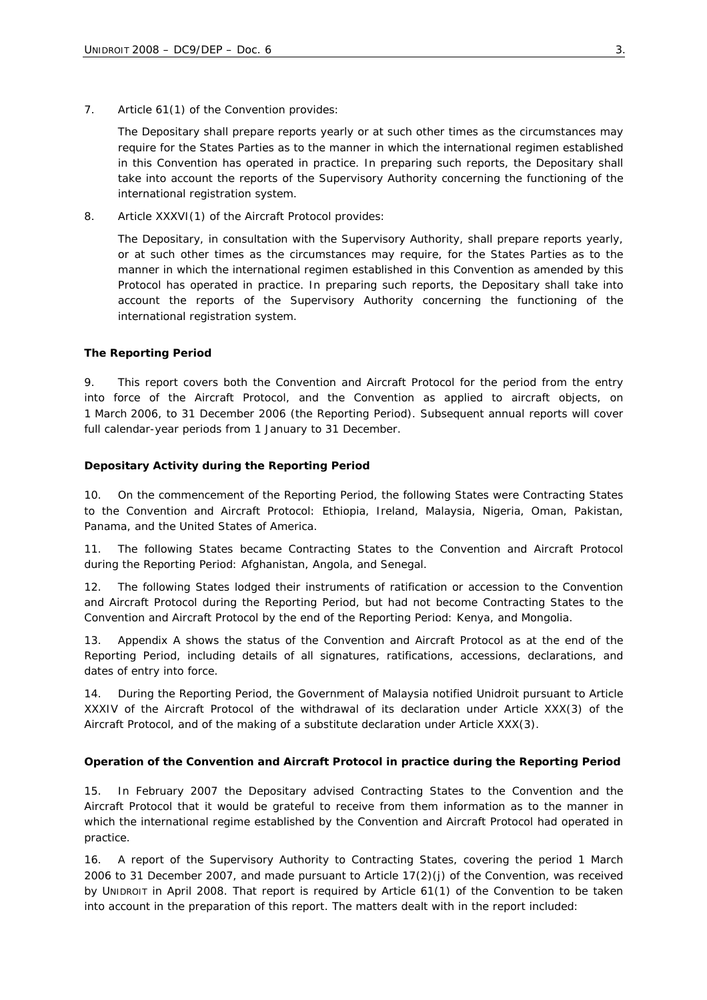7. Article 61(1) of the Convention provides:

The Depositary shall prepare reports yearly or at such other times as the circumstances may require for the States Parties as to the manner in which the international regimen established in this Convention has operated in practice. In preparing such reports, the Depositary shall take into account the reports of the Supervisory Authority concerning the functioning of the international registration system.

8. Article XXXVI(1) of the Aircraft Protocol provides:

The Depositary, in consultation with the Supervisory Authority, shall prepare reports yearly, or at such other times as the circumstances may require, for the States Parties as to the manner in which the international regimen established in this Convention as amended by this Protocol has operated in practice. In preparing such reports, the Depositary shall take into account the reports of the Supervisory Authority concerning the functioning of the international registration system.

#### **The Reporting Period**

9. This report covers both the Convention and Aircraft Protocol for the period from the entry into force of the Aircraft Protocol, and the Convention as applied to aircraft objects, on 1 March 2006, to 31 December 2006 (the Reporting Period). Subsequent annual reports will cover full calendar-year periods from 1 January to 31 December.

#### **Depositary Activity during the Reporting Period**

10. On the commencement of the Reporting Period, the following States were Contracting States to the Convention and Aircraft Protocol: Ethiopia, Ireland, Malaysia, Nigeria, Oman, Pakistan, Panama, and the United States of America.

11. The following States became Contracting States to the Convention and Aircraft Protocol during the Reporting Period: Afghanistan, Angola, and Senegal.

12. The following States lodged their instruments of ratification or accession to the Convention and Aircraft Protocol during the Reporting Period, but had not become Contracting States to the Convention and Aircraft Protocol by the end of the Reporting Period: Kenya, and Mongolia.

13. Appendix A shows the status of the Convention and Aircraft Protocol as at the end of the Reporting Period, including details of all signatures, ratifications, accessions, declarations, and dates of entry into force.

14. During the Reporting Period, the Government of Malaysia notified Unidroit pursuant to Article XXXIV of the Aircraft Protocol of the withdrawal of its declaration under Article XXX(3) of the Aircraft Protocol, and of the making of a substitute declaration under Article XXX(3).

#### **Operation of the Convention and Aircraft Protocol in practice during the Reporting Period**

15. In February 2007 the Depositary advised Contracting States to the Convention and the Aircraft Protocol that it would be grateful to receive from them information as to the manner in which the international regime established by the Convention and Aircraft Protocol had operated in practice.

16. A report of the Supervisory Authority to Contracting States, covering the period 1 March 2006 to 31 December 2007, and made pursuant to Article 17(2)(j) of the Convention, was received by UNIDROIT in April 2008. That report is required by Article 61(1) of the Convention to be taken into account in the preparation of this report. The matters dealt with in the report included: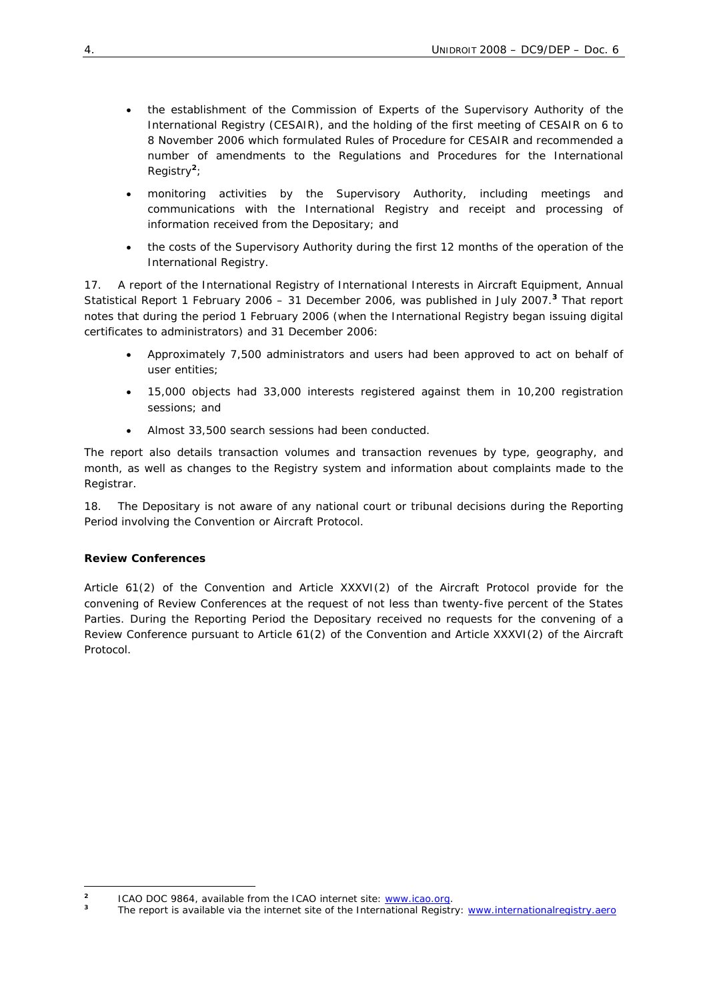- the establishment of the Commission of Experts of the Supervisory Authority of the International Registry (CESAIR), and the holding of the first meeting of CESAIR on 6 to 8 November 2006 which formulated Rules of Procedure for CESAIR and recommended a number of amendments to the *Regulations and Procedures for the International Registry<sup>2</sup>*;
- monitoring activities by the Supervisory Authority, including meetings and communications with the International Registry and receipt and processing of information received from the Depositary; and
- the costs of the Supervisory Authority during the first 12 months of the operation of the International Registry.

17. A report of the International Registry of International Interests in Aircraft Equipment, *Annual Statistical Report 1 February 2006 – 31 December 2006*, was published in July 2007.**<sup>3</sup>** That report notes that during the period 1 February 2006 (when the International Registry began issuing digital certificates to administrators) and 31 December 2006:

- Approximately 7,500 administrators and users had been approved to act on behalf of user entities;
- 15,000 objects had 33,000 interests registered against them in 10,200 registration sessions; and
- Almost 33,500 search sessions had been conducted.

The report also details transaction volumes and transaction revenues by type, geography, and month, as well as changes to the Registry system and information about complaints made to the Registrar.

18. The Depositary is not aware of any national court or tribunal decisions during the Reporting Period involving the Convention or Aircraft Protocol.

# **Review Conferences**

Article 61(2) of the Convention and Article XXXVI(2) of the Aircraft Protocol provide for the convening of Review Conferences at the request of not less than twenty-five percent of the States Parties. During the Reporting Period the Depositary received no requests for the convening of a Review Conference pursuant to Article 61(2) of the Convention and Article XXXVI(2) of the Aircraft Protocol.

 $\overline{a}$ **2** ICAO DOC 9864, available from the ICAO internet site: www.icao.org.

**<sup>3</sup>** The report is available via the internet site of the International Registry: www.internationalregistry.aero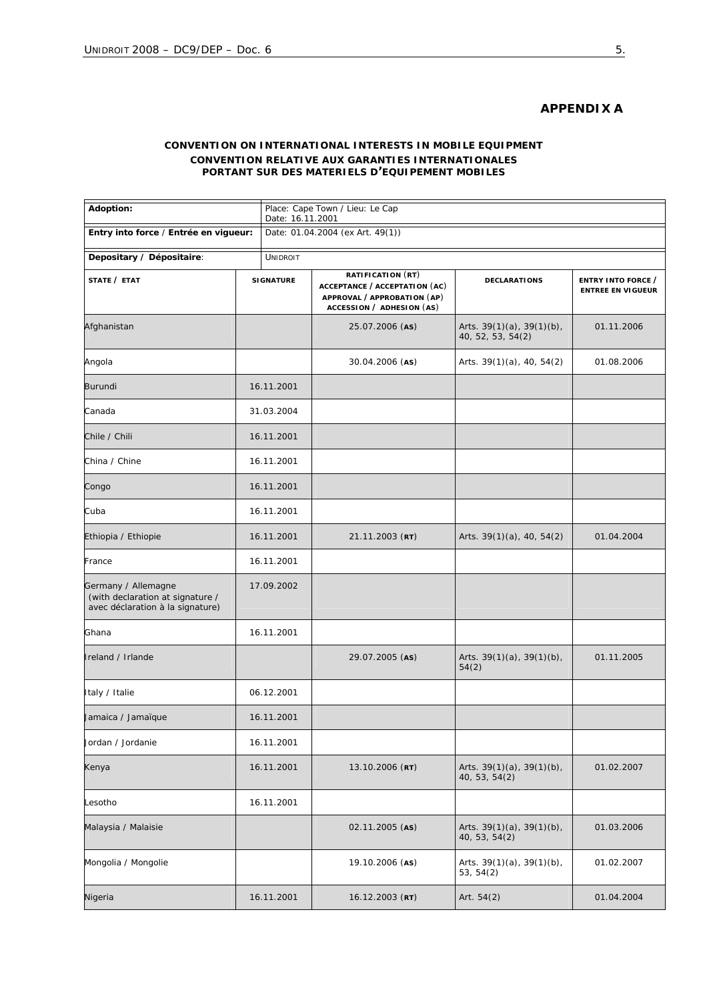# **APPENDIX A**

# **CONVENTION ON INTERNATIONAL INTERESTS IN MOBILE EQUIPMENT** *CONVENTION RELATIVE AUX GARANTIES INTERNATIONALES PORTANT SUR DES MATERIELS D'EQUIPEMENT MOBILES*

| Adoption:                                                                                   |                  | Place: Cape Town / Lieu: Le Cap<br>Date: 16.11.2001 |                                                                                                                |                                                      |                                                |  |
|---------------------------------------------------------------------------------------------|------------------|-----------------------------------------------------|----------------------------------------------------------------------------------------------------------------|------------------------------------------------------|------------------------------------------------|--|
| Entry into force / Entrée en vigueur:                                                       |                  | Date: 01.04.2004 (ex Art. 49(1))                    |                                                                                                                |                                                      |                                                |  |
| Depositary / Dépositaire:<br><b>UNIDROIT</b>                                                |                  |                                                     |                                                                                                                |                                                      |                                                |  |
| STATE / ETAT                                                                                | <b>SIGNATURE</b> |                                                     | RATIFICATION (RT)<br>ACCEPTANCE / ACCEPTATION (AC)<br>APPROVAL / APPROBATION (AP)<br>ACCESSION / ADHESION (AS) | <b>DECLARATIONS</b>                                  | ENTRY INTO FORCE /<br><b>ENTREE EN VIGUEUR</b> |  |
| Afghanistan                                                                                 |                  |                                                     | 25.07.2006 (AS)                                                                                                | Arts. $39(1)(a)$ , $39(1)(b)$ ,<br>40, 52, 53, 54(2) | 01.11.2006                                     |  |
| Angola                                                                                      |                  |                                                     | 30.04.2006 (AS)                                                                                                | Arts. $39(1)(a)$ , 40, 54(2)                         | 01.08.2006                                     |  |
| <b>Burundi</b>                                                                              | 16.11.2001       |                                                     |                                                                                                                |                                                      |                                                |  |
| Canada                                                                                      | 31.03.2004       |                                                     |                                                                                                                |                                                      |                                                |  |
| Chile / Chili                                                                               | 16.11.2001       |                                                     |                                                                                                                |                                                      |                                                |  |
| China / Chine                                                                               | 16.11.2001       |                                                     |                                                                                                                |                                                      |                                                |  |
| Congo                                                                                       | 16.11.2001       |                                                     |                                                                                                                |                                                      |                                                |  |
| Cuba                                                                                        | 16.11.2001       |                                                     |                                                                                                                |                                                      |                                                |  |
| Ethiopia / Ethiopie                                                                         | 16.11.2001       |                                                     | $21.11.2003$ (RT)                                                                                              | Arts. $39(1)(a)$ , 40, 54(2)                         | 01.04.2004                                     |  |
| France                                                                                      |                  | 16.11.2001                                          |                                                                                                                |                                                      |                                                |  |
| Germany / Allemagne<br>(with declaration at signature /<br>avec déclaration à la signature) |                  | 17.09.2002                                          |                                                                                                                |                                                      |                                                |  |
| Ghana                                                                                       |                  | 16.11.2001                                          |                                                                                                                |                                                      |                                                |  |
| Ireland / Irlande                                                                           |                  | 29.07.2005 (AS)                                     | Arts. 39(1)(a), 39(1)(b),<br>54(2)                                                                             | 01.11.2005                                           |                                                |  |
| Italy / Italie                                                                              |                  | 06.12.2001                                          |                                                                                                                |                                                      |                                                |  |
| Jamaica / <i>Jamaïque</i>                                                                   |                  | 16.11.2001                                          |                                                                                                                |                                                      |                                                |  |
| Jordan / Jordanie                                                                           | 16.11.2001       |                                                     |                                                                                                                |                                                      |                                                |  |
| Kenya                                                                                       | 16.11.2001       |                                                     | 13.10.2006 (RT)                                                                                                | Arts. 39(1)(a), 39(1)(b),<br>40, 53, 54(2)           | 01.02.2007                                     |  |
| Lesotho                                                                                     |                  | 16.11.2001                                          |                                                                                                                |                                                      |                                                |  |
| Malaysia / Malaisie                                                                         |                  |                                                     | 02.11.2005 (AS)                                                                                                | Arts. $39(1)(a)$ , $39(1)(b)$ ,<br>40, 53, 54(2)     | 01.03.2006                                     |  |
| Mongolia / Mongolie                                                                         |                  |                                                     | 19.10.2006 (AS)                                                                                                | Arts. $39(1)(a)$ , $39(1)(b)$ ,<br>53, 54(2)         | 01.02.2007                                     |  |
| Nigeria                                                                                     | 16.11.2001       |                                                     | 16.12.2003 (RT)                                                                                                | Art. $54(2)$                                         | 01.04.2004                                     |  |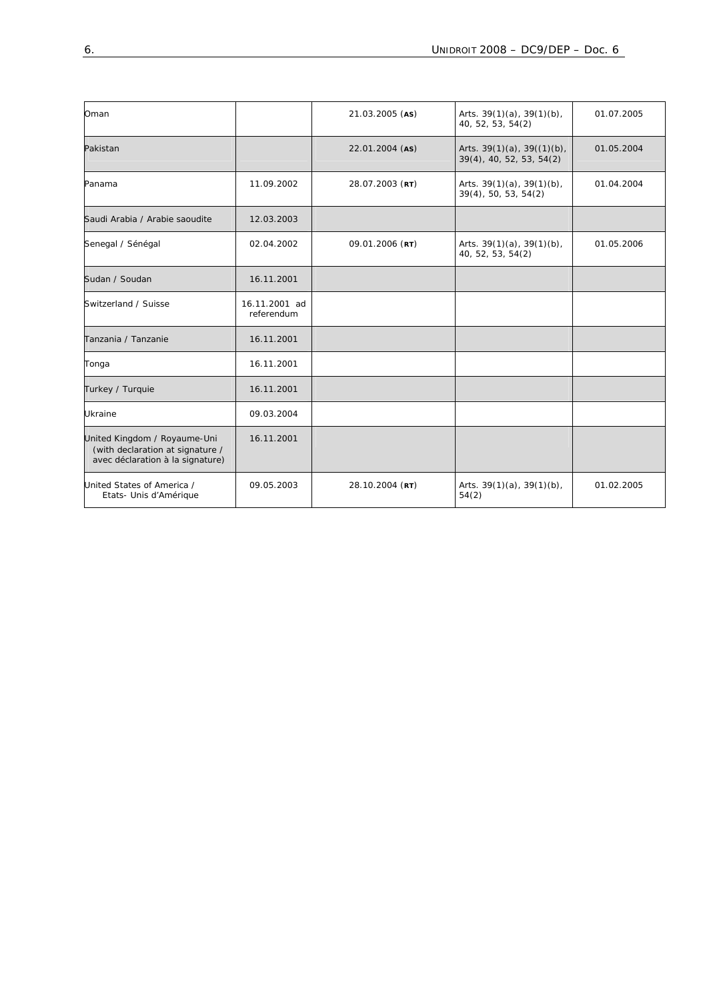| Oman                                                                                                 |                             | 21.03.2005 (AS) | Arts. $39(1)(a)$ , $39(1)(b)$ ,<br>40, 52, 53, 54(2)            | 01.07.2005 |
|------------------------------------------------------------------------------------------------------|-----------------------------|-----------------|-----------------------------------------------------------------|------------|
| Pakistan                                                                                             |                             | 22.01.2004 (AS) | Arts. $39(1)(a)$ , $39((1)(b)$ ,<br>$39(4)$ , 40, 52, 53, 54(2) | 01.05.2004 |
| Panama                                                                                               | 11.09.2002                  | 28.07.2003 (RT) | Arts. $39(1)(a)$ , $39(1)(b)$ ,<br>$39(4)$ , 50, 53, 54(2)      | 01.04.2004 |
| Saudi Arabia / Arabie saoudite                                                                       | 12.03.2003                  |                 |                                                                 |            |
| Senegal / Sénégal                                                                                    | 02.04.2002                  | 09.01.2006 (RT) | Arts. $39(1)(a)$ , $39(1)(b)$ ,<br>40, 52, 53, 54(2)            | 01.05.2006 |
| Sudan / Soudan                                                                                       | 16.11.2001                  |                 |                                                                 |            |
| Switzerland / Suisse                                                                                 | 16.11.2001 ad<br>referendum |                 |                                                                 |            |
| Tanzania / Tanzanie                                                                                  | 16.11.2001                  |                 |                                                                 |            |
| Tonga                                                                                                | 16.11.2001                  |                 |                                                                 |            |
| Turkey / Turquie                                                                                     | 16.11.2001                  |                 |                                                                 |            |
| <b>Ukraine</b>                                                                                       | 09.03.2004                  |                 |                                                                 |            |
| United Kingdom / Royaume-Uni<br>(with declaration at signature /<br>avec déclaration à la signature) | 16.11.2001                  |                 |                                                                 |            |
| United States of America /<br>Etats- Unis d'Amérique                                                 | 09.05.2003                  | 28.10.2004 (RT) | Arts. $39(1)(a)$ , $39(1)(b)$ ,<br>54(2)                        | 01.02.2005 |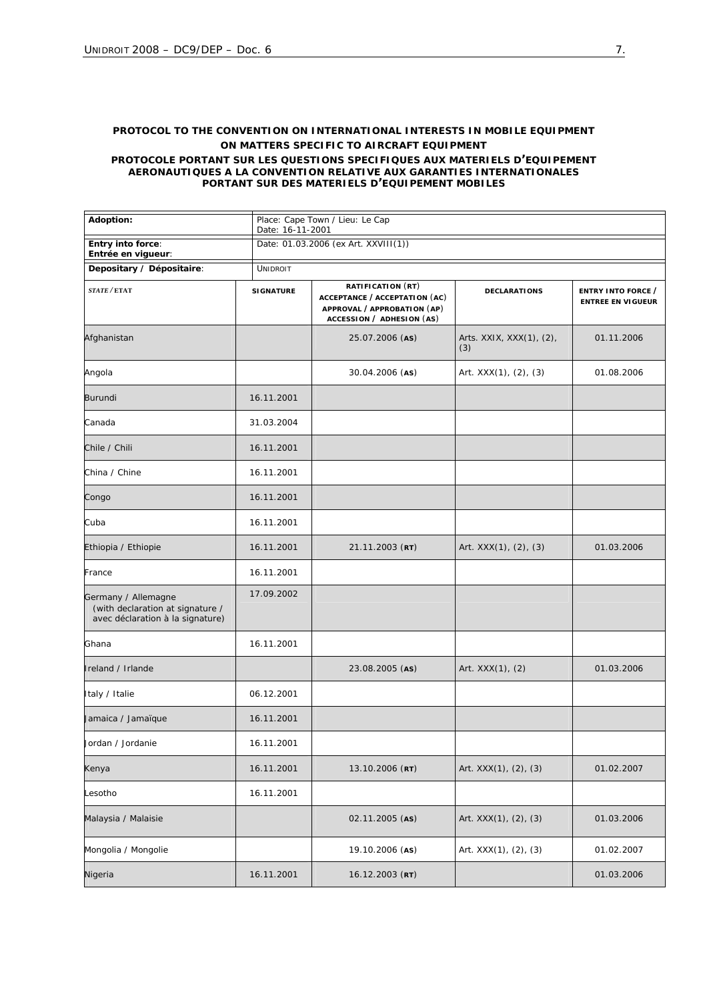### **PROTOCOL TO THE CONVENTION ON INTERNATIONAL INTERESTS IN MOBILE EQUIPMENT ON MATTERS SPECIFIC TO AIRCRAFT EQUIPMENT**

*PROTOCOLE PORTANT SUR LES QUESTIONS SPECIFIQUES AUX MATERIELS D'EQUIPEMENT AERONAUTIQUES A LA CONVENTION RELATIVE AUX GARANTIES INTERNATIONALES PORTANT SUR DES MATERIELS D'EQUIPEMENT MOBILES*

| Adoption:                                                                                   |                  | Place: Cape Town / Lieu: Le Cap<br>Date: 16-11-2001                                                            |                                 |                                                |  |  |
|---------------------------------------------------------------------------------------------|------------------|----------------------------------------------------------------------------------------------------------------|---------------------------------|------------------------------------------------|--|--|
| Entry into force:<br>Entrée en vigueur:                                                     |                  | Date: 01.03.2006 (ex Art. XXVIII(1))                                                                           |                                 |                                                |  |  |
| Depositary / Dépositaire:                                                                   | <b>UNIDROIT</b>  |                                                                                                                |                                 |                                                |  |  |
| STATE / ETAT                                                                                | <b>SIGNATURE</b> | RATIFICATION (RT)<br>ACCEPTANCE / ACCEPTATION (AC)<br>APPROVAL / APPROBATION (AP)<br>ACCESSION / ADHESION (AS) | <b>DECLARATIONS</b>             | ENTRY INTO FORCE /<br><b>ENTREE EN VIGUEUR</b> |  |  |
| Afghanistan                                                                                 |                  | 25.07.2006 (AS)                                                                                                | Arts. XXIX, XXX(1), (2),<br>(3) | 01.11.2006                                     |  |  |
| Angola                                                                                      |                  | 30.04.2006 (AS)                                                                                                | Art. XXX(1), (2), (3)           | 01.08.2006                                     |  |  |
| Burundi                                                                                     | 16.11.2001       |                                                                                                                |                                 |                                                |  |  |
| Canada                                                                                      | 31.03.2004       |                                                                                                                |                                 |                                                |  |  |
| Chile / Chili                                                                               | 16.11.2001       |                                                                                                                |                                 |                                                |  |  |
| China / Chine                                                                               | 16.11.2001       |                                                                                                                |                                 |                                                |  |  |
| Congo                                                                                       | 16.11.2001       |                                                                                                                |                                 |                                                |  |  |
| Cuba                                                                                        | 16.11.2001       |                                                                                                                |                                 |                                                |  |  |
| Ethiopia / Ethiopie                                                                         | 16.11.2001       | 21.11.2003 (RT)                                                                                                | Art. XXX(1), (2), (3)           | 01.03.2006                                     |  |  |
| France                                                                                      | 16.11.2001       |                                                                                                                |                                 |                                                |  |  |
| Germany / Allemagne<br>(with declaration at signature /<br>avec déclaration à la signature) | 17.09.2002       |                                                                                                                |                                 |                                                |  |  |
| Ghana                                                                                       | 16.11.2001       |                                                                                                                |                                 |                                                |  |  |
| Ireland / Irlande                                                                           |                  | 23.08.2005 (AS)                                                                                                | Art. XXX(1), (2)                | 01.03.2006                                     |  |  |
| Italy / Italie                                                                              | 06.12.2001       |                                                                                                                |                                 |                                                |  |  |
| Jamaica / Jamaïque                                                                          | 16.11.2001       |                                                                                                                |                                 |                                                |  |  |
| Jordan / Jordanie                                                                           | 16.11.2001       |                                                                                                                |                                 |                                                |  |  |
| Kenya                                                                                       | 16.11.2001       | 13.10.2006 (RT)                                                                                                | Art. XXX(1), (2), (3)           | 01.02.2007                                     |  |  |
| Lesotho                                                                                     | 16.11.2001       |                                                                                                                |                                 |                                                |  |  |
| Malaysia / Malaisie                                                                         |                  | 02.11.2005 (AS)                                                                                                | Art. XXX(1), (2), (3)           | 01.03.2006                                     |  |  |
| Mongolia / Mongolie                                                                         |                  | 19.10.2006 (AS)                                                                                                | Art. XXX(1), (2), (3)           | 01.02.2007                                     |  |  |
| Nigeria                                                                                     | 16.11.2001       | 16.12.2003 (RT)                                                                                                |                                 | 01.03.2006                                     |  |  |